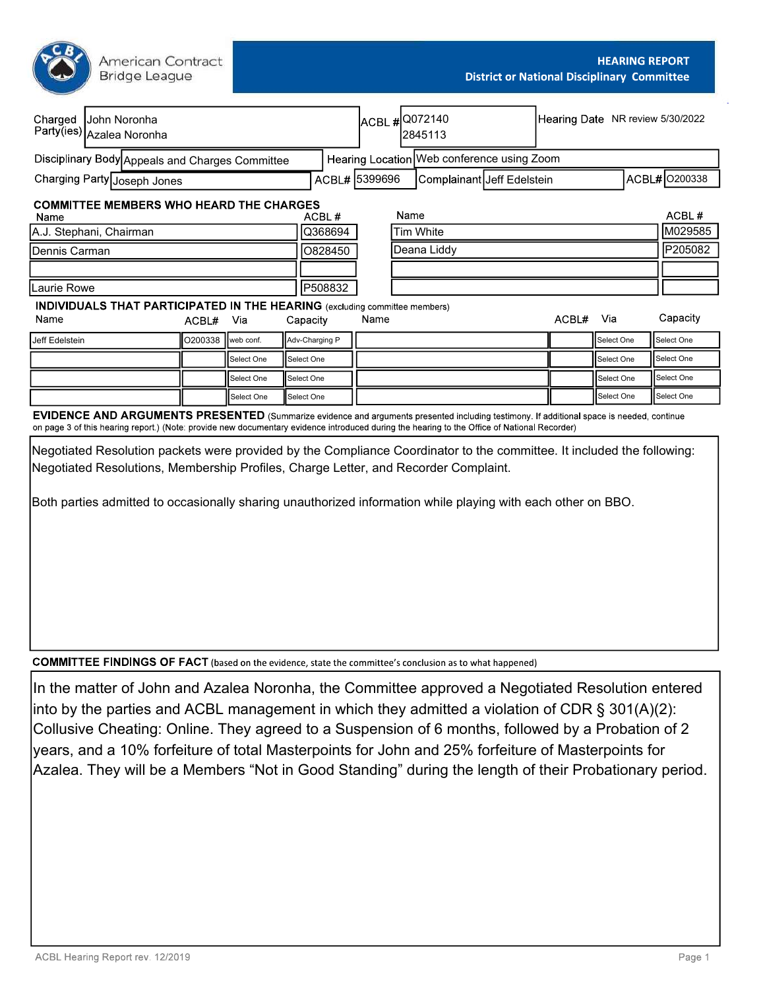American Contract **Bridge League** 

| Charged<br>Party(ies) Azalea Noronha         |  | John Noronha                                                                      |         |            |             |                |      |                            | ACBL # 0072140<br>2845113                                                                                                                                                                                                                                                                        |         |       |               | Hearing Date NR review 5/30/2022 |
|----------------------------------------------|--|-----------------------------------------------------------------------------------|---------|------------|-------------|----------------|------|----------------------------|--------------------------------------------------------------------------------------------------------------------------------------------------------------------------------------------------------------------------------------------------------------------------------------------------|---------|-------|---------------|----------------------------------|
|                                              |  | Disciplinary Body Appeals and Charges Committee                                   |         |            |             |                |      |                            | Hearing Location Web conference using Zoom                                                                                                                                                                                                                                                       |         |       |               |                                  |
| Charging Party Joseph Jones<br>ACBL# 5399696 |  |                                                                                   |         |            |             |                |      | Complainant Jeff Edelstein |                                                                                                                                                                                                                                                                                                  |         |       | ACBL# 0200338 |                                  |
| Name                                         |  | <b>COMMITTEE MEMBERS WHO HEARD THE CHARGES</b>                                    |         |            |             | ACBL#          |      | Name                       |                                                                                                                                                                                                                                                                                                  |         |       |               | ACBL#                            |
| Q368694<br>A.J. Stephani, Chairman           |  |                                                                                   |         |            |             | Tim White      |      |                            |                                                                                                                                                                                                                                                                                                  | M029585 |       |               |                                  |
| 0828450<br>Dennis Carman                     |  |                                                                                   |         |            | Deana Liddy |                |      | P205082                    |                                                                                                                                                                                                                                                                                                  |         |       |               |                                  |
|                                              |  |                                                                                   |         |            |             |                |      |                            |                                                                                                                                                                                                                                                                                                  |         |       |               |                                  |
| Laurie Rowe                                  |  |                                                                                   |         |            |             | P508832        |      |                            |                                                                                                                                                                                                                                                                                                  |         |       |               |                                  |
|                                              |  | <b>INDIVIDUALS THAT PARTICIPATED IN THE HEARING</b> (excluding committee members) |         |            |             |                |      |                            |                                                                                                                                                                                                                                                                                                  |         |       |               |                                  |
| Name                                         |  |                                                                                   | ACBL#   | Via        |             | Capacity       | Name |                            |                                                                                                                                                                                                                                                                                                  |         | ACBL# | Via           | Capacity                         |
| Jeff Edelstein                               |  |                                                                                   | O200338 | web conf.  |             | Adv-Charging P |      |                            |                                                                                                                                                                                                                                                                                                  |         |       | Select One    | <b>ISelect One</b>               |
|                                              |  |                                                                                   |         | Select One |             | Select One     |      |                            |                                                                                                                                                                                                                                                                                                  |         |       | Select One    | Select One                       |
|                                              |  |                                                                                   |         | Select One |             | Select One     |      |                            |                                                                                                                                                                                                                                                                                                  |         |       | Select One    | Select One                       |
|                                              |  |                                                                                   |         | Select One |             | Select One     |      |                            |                                                                                                                                                                                                                                                                                                  |         |       | Select One    | Select One                       |
|                                              |  |                                                                                   |         |            |             |                |      |                            | <b>EVIDENCE AND ARGUMENTS PRESENTED</b> (Summarize evidence and arguments presented including testimony. If additional space is needed, continue<br>on page 3 of this hearing report.) (Note: provide new documentary evidence introduced during the hearing to the Office of National Recorder) |         |       |               |                                  |
|                                              |  |                                                                                   |         |            |             |                |      |                            |                                                                                                                                                                                                                                                                                                  |         |       |               |                                  |

Negotiated Resolution packets were provided by the Compliance Coordinator to the committee. It included the following: Negotiated Resolutions, Membership Profiles, Charge Letter, and Recorder Complaint.

Both parties admitted to occasionally sharing unauthorized information while playing with each other on BBO.

**COMMITTEE FINDINGS OF FACT** (based on the evidence, state the committee's conclusion as to what happened)

In the matter of John and Azalea Noronha, the Committee approved a Negotiated Resolution entered into by the parties and ACBL management in which they admitted a violation of CDR  $\S$  301(A)(2): Collusive Cheating: Online. They agreed to a Suspension of 6 months, followed by a Probation of 2 years, and a 10% forfeiture of total Masterpoints for John and 25% forfeiture of Masterpoints for Azalea. They will be a Members "Not in Good Standing" during the length of their Probationary period.